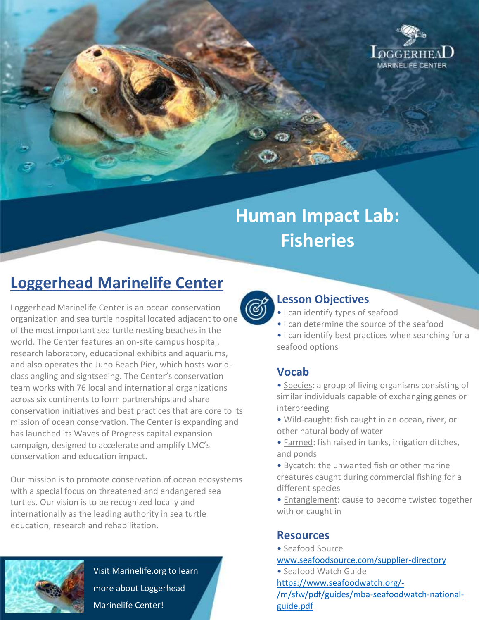

# **Human Impact Lab: Fisheries**

## **Loggerhead Marinelife Center**

Loggerhead Marinelife Center is an ocean conservation organization and sea turtle hospital located adjacent to one of the most important sea turtle nesting beaches in the world. The Center features an on-site campus hospital, research laboratory, educational exhibits and aquariums, and also operates the Juno Beach Pier, which hosts worldclass angling and sightseeing. The Center's conservation team works with 76 local and international organizations across six continents to form partnerships and share conservation initiatives and best practices that are core to its mission of ocean conservation. The Center is expanding and has launched its Waves of Progress capital expansion campaign, designed to accelerate and amplify LMC's conservation and education impact.

Our mission is to promote conservation of ocean ecosystems with a special focus on threatened and endangered sea turtles. Our vision is to be recognized locally and internationally as the leading authority in sea turtle education, research and rehabilitation.



Visit Marinelife.org to learn more about Loggerhead Marinelife Center!



#### **Lesson Objectives**

- I can identify types of seafood
- I can determine the source of the seafood
- I can identify best practices when searching for a seafood options

### **Vocab**

- Species: a group of living organisms consisting of similar individuals capable of exchanging genes or interbreeding
- Wild-caught: fish caught in an ocean, river, or other natural body of water
- Farmed: fish raised in tanks, irrigation ditches, and ponds
- Bycatch: the unwanted fish or other marine creatures caught during commercial fishing for a different species
- Entanglement: cause to become twisted together with or caught in

#### **Resources**

• Seafood Source

[www.seafoodsource.com/supplier-directory](http://www.seafoodsource.com/supplier-directory)

• Seafood Watch Guide [https://www.seafoodwatch.org/-](https://www.seafoodwatch.org/-/m/sfw/pdf/guides/mba-seafoodwatch-national-guide.pdf) [/m/sfw/pdf/guides/mba-seafoodwatch-national](https://www.seafoodwatch.org/-/m/sfw/pdf/guides/mba-seafoodwatch-national-guide.pdf)[guide.pdf](https://www.seafoodwatch.org/-/m/sfw/pdf/guides/mba-seafoodwatch-national-guide.pdf)